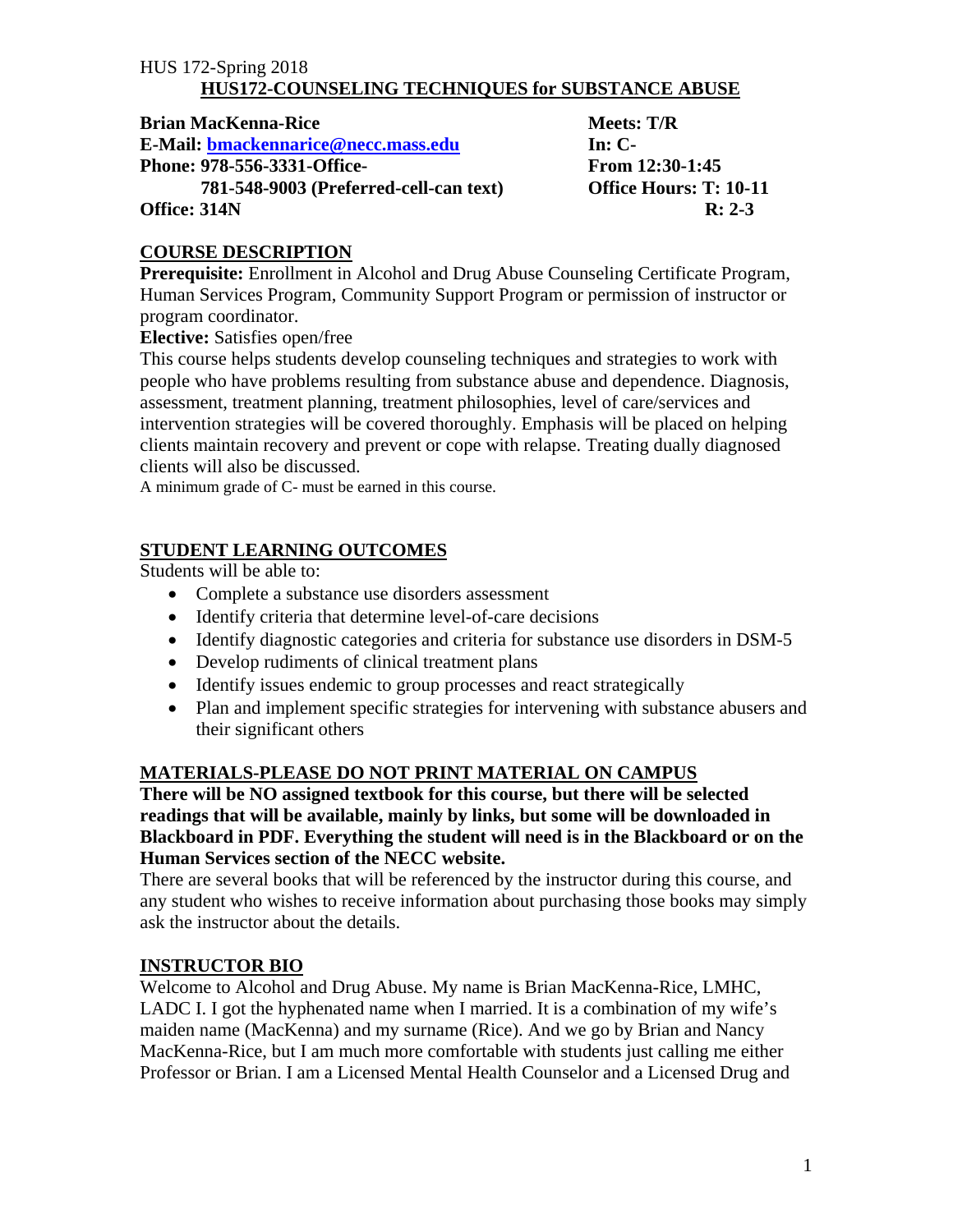**Brian MacKenna-Rice Meets: T/R** Meets: T/R

E-Mail: bmackennarice@necc.mass.edu In: C-

**Phone: 978-556-3331-Office- From 12:30-1:45** 

 **781-548-9003 (Preferred-cell-can text) Office Hours: T: 10-11 Office: 314N** R: 2-3

## **COURSE DESCRIPTION**

**Prerequisite:** Enrollment in Alcohol and Drug Abuse Counseling Certificate Program, Human Services Program, Community Support Program or permission of instructor or program coordinator.

**Elective:** Satisfies open/free

This course helps students develop counseling techniques and strategies to work with people who have problems resulting from substance abuse and dependence. Diagnosis, assessment, treatment planning, treatment philosophies, level of care/services and intervention strategies will be covered thoroughly. Emphasis will be placed on helping clients maintain recovery and prevent or cope with relapse. Treating dually diagnosed clients will also be discussed.

A minimum grade of C- must be earned in this course.

## **STUDENT LEARNING OUTCOMES**

Students will be able to:

- Complete a substance use disorders assessment
- Identify criteria that determine level-of-care decisions
- Identify diagnostic categories and criteria for substance use disorders in DSM-5
- Develop rudiments of clinical treatment plans
- Identify issues endemic to group processes and react strategically
- Plan and implement specific strategies for intervening with substance abusers and their significant others

## **MATERIALS-PLEASE DO NOT PRINT MATERIAL ON CAMPUS**

**There will be NO assigned textbook for this course, but there will be selected readings that will be available, mainly by links, but some will be downloaded in Blackboard in PDF. Everything the student will need is in the Blackboard or on the Human Services section of the NECC website.** 

There are several books that will be referenced by the instructor during this course, and any student who wishes to receive information about purchasing those books may simply ask the instructor about the details.

## **INSTRUCTOR BIO**

Welcome to Alcohol and Drug Abuse. My name is Brian MacKenna-Rice, LMHC, LADC I. I got the hyphenated name when I married. It is a combination of my wife's maiden name (MacKenna) and my surname (Rice). And we go by Brian and Nancy MacKenna-Rice, but I am much more comfortable with students just calling me either Professor or Brian. I am a Licensed Mental Health Counselor and a Licensed Drug and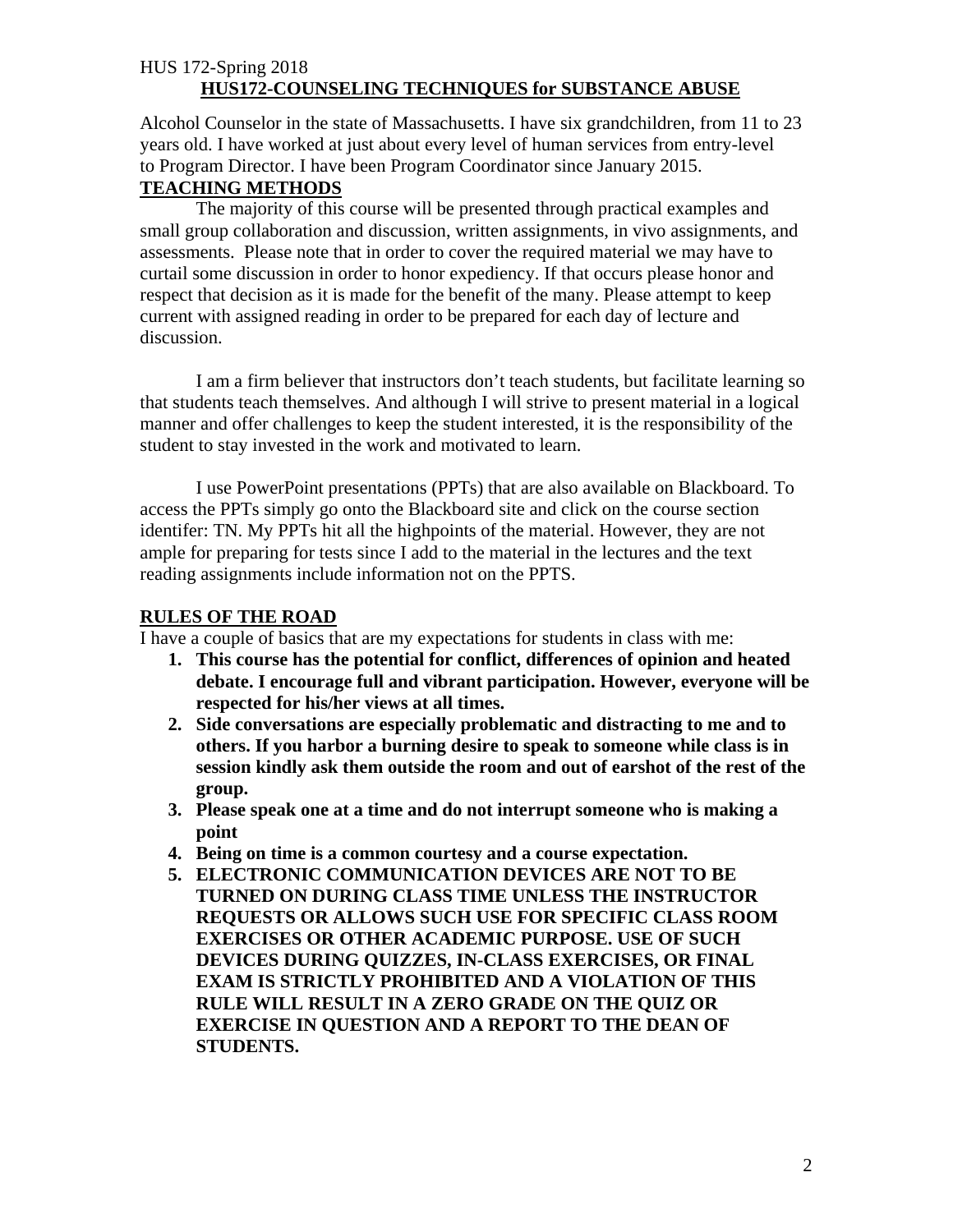Alcohol Counselor in the state of Massachusetts. I have six grandchildren, from 11 to 23 years old. I have worked at just about every level of human services from entry-level to Program Director. I have been Program Coordinator since January 2015.

#### **TEACHING METHODS**

The majority of this course will be presented through practical examples and small group collaboration and discussion, written assignments, in vivo assignments, and assessments. Please note that in order to cover the required material we may have to curtail some discussion in order to honor expediency. If that occurs please honor and respect that decision as it is made for the benefit of the many. Please attempt to keep current with assigned reading in order to be prepared for each day of lecture and discussion.

I am a firm believer that instructors don't teach students, but facilitate learning so that students teach themselves. And although I will strive to present material in a logical manner and offer challenges to keep the student interested, it is the responsibility of the student to stay invested in the work and motivated to learn.

I use PowerPoint presentations (PPTs) that are also available on Blackboard. To access the PPTs simply go onto the Blackboard site and click on the course section identifer: TN. My PPTs hit all the highpoints of the material. However, they are not ample for preparing for tests since I add to the material in the lectures and the text reading assignments include information not on the PPTS.

#### **RULES OF THE ROAD**

I have a couple of basics that are my expectations for students in class with me:

- **1. This course has the potential for conflict, differences of opinion and heated debate. I encourage full and vibrant participation. However, everyone will be respected for his/her views at all times.**
- **2. Side conversations are especially problematic and distracting to me and to others. If you harbor a burning desire to speak to someone while class is in session kindly ask them outside the room and out of earshot of the rest of the group.**
- **3. Please speak one at a time and do not interrupt someone who is making a point**
- **4. Being on time is a common courtesy and a course expectation.**
- **5. ELECTRONIC COMMUNICATION DEVICES ARE NOT TO BE TURNED ON DURING CLASS TIME UNLESS THE INSTRUCTOR REQUESTS OR ALLOWS SUCH USE FOR SPECIFIC CLASS ROOM EXERCISES OR OTHER ACADEMIC PURPOSE. USE OF SUCH DEVICES DURING QUIZZES, IN-CLASS EXERCISES, OR FINAL EXAM IS STRICTLY PROHIBITED AND A VIOLATION OF THIS RULE WILL RESULT IN A ZERO GRADE ON THE QUIZ OR EXERCISE IN QUESTION AND A REPORT TO THE DEAN OF STUDENTS.**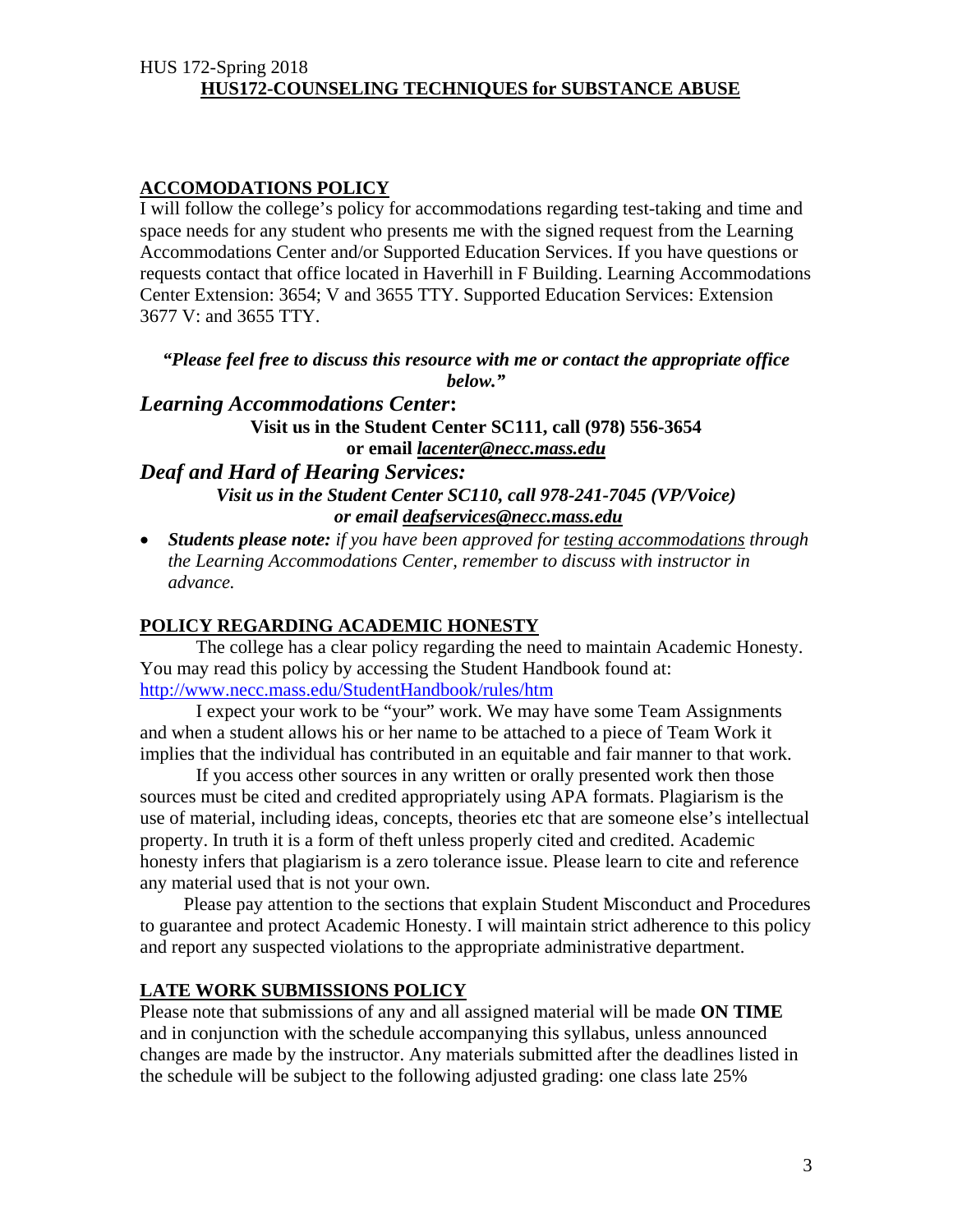#### **ACCOMODATIONS POLICY**

I will follow the college's policy for accommodations regarding test-taking and time and space needs for any student who presents me with the signed request from the Learning Accommodations Center and/or Supported Education Services. If you have questions or requests contact that office located in Haverhill in F Building. Learning Accommodations Center Extension: 3654; V and 3655 TTY. Supported Education Services: Extension 3677 V: and 3655 TTY.

*"Please feel free to discuss this resource with me or contact the appropriate office below."* 

*Learning Accommodations Center***: Visit us in the Student Center SC111, call (978) 556-3654 or email** *lacenter@necc.mass.edu*

#### *Deaf and Hard of Hearing Services: Visit us in the Student Center SC110, call 978-241-7045 (VP/Voice)*

 *or email deafservices@necc.mass.edu* 

 *Students please note: if you have been approved for testing accommodations through the Learning Accommodations Center, remember to discuss with instructor in advance.* 

## **POLICY REGARDING ACADEMIC HONESTY**

 The college has a clear policy regarding the need to maintain Academic Honesty. You may read this policy by accessing the Student Handbook found at: http://www.necc.mass.edu/StudentHandbook/rules/htm

 I expect your work to be "your" work. We may have some Team Assignments and when a student allows his or her name to be attached to a piece of Team Work it implies that the individual has contributed in an equitable and fair manner to that work.

 If you access other sources in any written or orally presented work then those sources must be cited and credited appropriately using APA formats. Plagiarism is the use of material, including ideas, concepts, theories etc that are someone else's intellectual property. In truth it is a form of theft unless properly cited and credited. Academic honesty infers that plagiarism is a zero tolerance issue. Please learn to cite and reference any material used that is not your own.

Please pay attention to the sections that explain Student Misconduct and Procedures to guarantee and protect Academic Honesty. I will maintain strict adherence to this policy and report any suspected violations to the appropriate administrative department.

## **LATE WORK SUBMISSIONS POLICY**

Please note that submissions of any and all assigned material will be made **ON TIME** and in conjunction with the schedule accompanying this syllabus, unless announced changes are made by the instructor. Any materials submitted after the deadlines listed in the schedule will be subject to the following adjusted grading: one class late 25%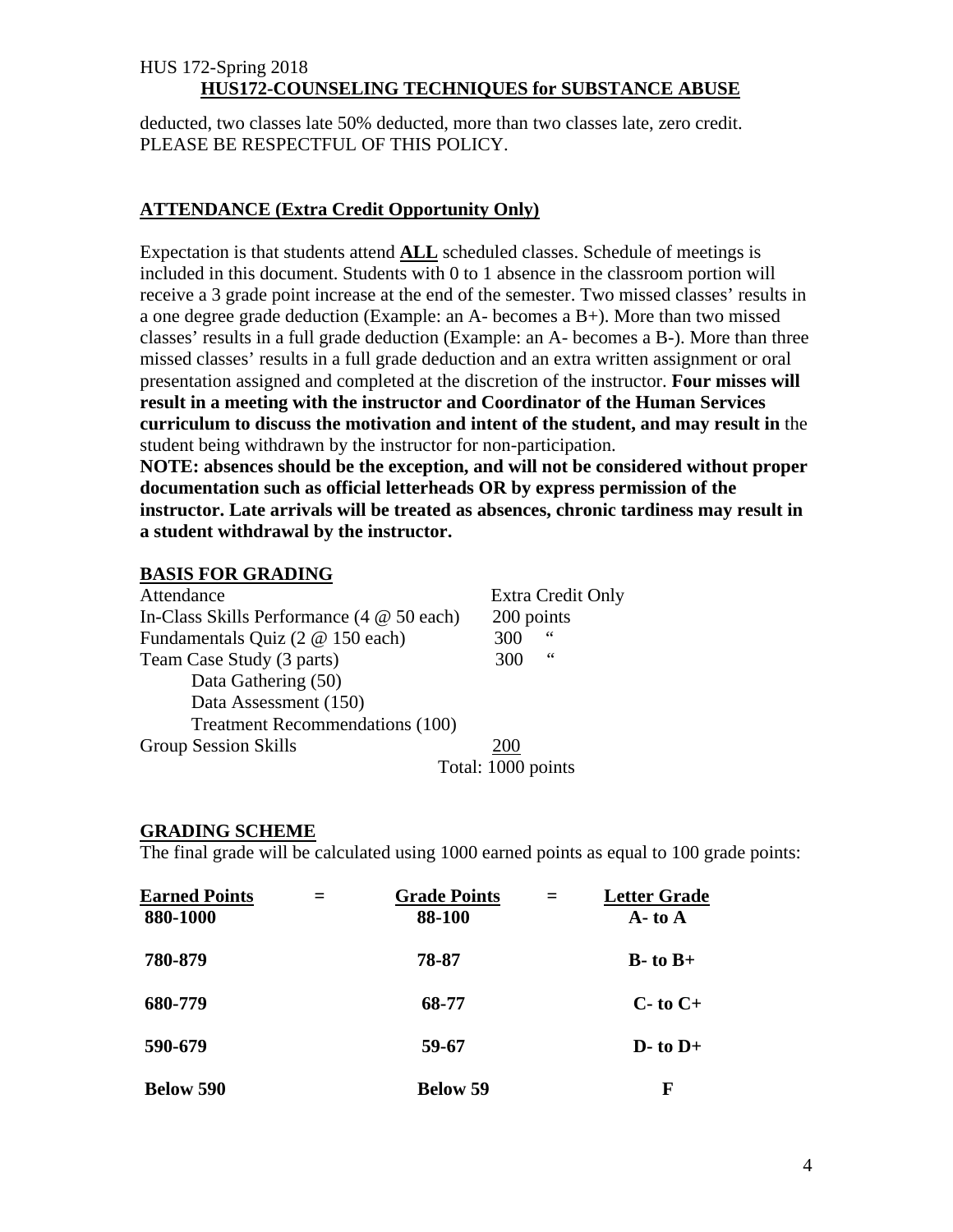deducted, two classes late 50% deducted, more than two classes late, zero credit. PLEASE BE RESPECTFUL OF THIS POLICY.

## **ATTENDANCE (Extra Credit Opportunity Only)**

Expectation is that students attend **ALL** scheduled classes. Schedule of meetings is included in this document. Students with 0 to 1 absence in the classroom portion will receive a 3 grade point increase at the end of the semester. Two missed classes' results in a one degree grade deduction (Example: an A- becomes a B+). More than two missed classes' results in a full grade deduction (Example: an A- becomes a B-). More than three missed classes' results in a full grade deduction and an extra written assignment or oral presentation assigned and completed at the discretion of the instructor. **Four misses will result in a meeting with the instructor and Coordinator of the Human Services curriculum to discuss the motivation and intent of the student, and may result in** the student being withdrawn by the instructor for non-participation.

**NOTE: absences should be the exception, and will not be considered without proper documentation such as official letterheads OR by express permission of the instructor. Late arrivals will be treated as absences, chronic tardiness may result in a student withdrawal by the instructor.** 

## **BASIS FOR GRADING**

| Attendance                                                | Extra Credit Only  |  |
|-----------------------------------------------------------|--------------------|--|
| In-Class Skills Performance $(4 \otimes 50 \text{ each})$ | 200 points         |  |
| Fundamentals Quiz (2 @ 150 each)                          | 66<br>300          |  |
| Team Case Study (3 parts)                                 | 66<br>300          |  |
| Data Gathering (50)                                       |                    |  |
| Data Assessment (150)                                     |                    |  |
| <b>Treatment Recommendations (100)</b>                    |                    |  |
| <b>Group Session Skills</b>                               | 200                |  |
|                                                           | Total: 1000 points |  |

#### **GRADING SCHEME**

The final grade will be calculated using 1000 earned points as equal to 100 grade points:

| <b>Earned Points</b><br>880-1000 | <b>Grade Points</b><br>88-100 |                | <b>Letter Grade</b><br>$A - to A$ |
|----------------------------------|-------------------------------|----------------|-----------------------------------|
| 780-879                          | 78-87                         |                | $B$ - to $B$ +                    |
| 680-779                          | 68-77                         | $C$ - to $C$ + |                                   |
| 590-679                          | 59-67                         | $D$ - to $D$ + |                                   |
| <b>Below 590</b>                 | <b>Below 59</b>               |                | F                                 |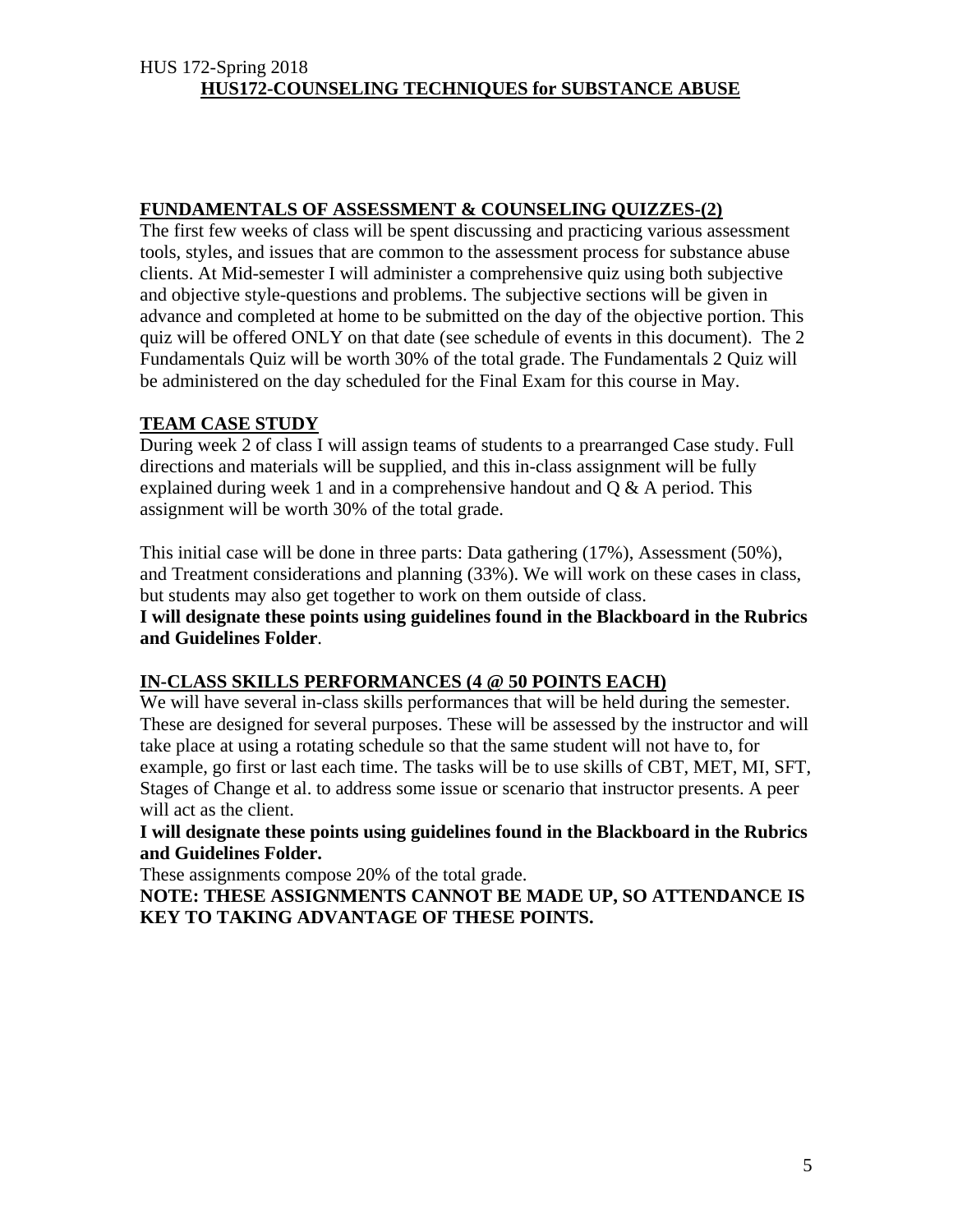## **FUNDAMENTALS OF ASSESSMENT & COUNSELING QUIZZES-(2)**

The first few weeks of class will be spent discussing and practicing various assessment tools, styles, and issues that are common to the assessment process for substance abuse clients. At Mid-semester I will administer a comprehensive quiz using both subjective and objective style-questions and problems. The subjective sections will be given in advance and completed at home to be submitted on the day of the objective portion. This quiz will be offered ONLY on that date (see schedule of events in this document). The 2 Fundamentals Quiz will be worth 30% of the total grade. The Fundamentals 2 Quiz will be administered on the day scheduled for the Final Exam for this course in May.

## **TEAM CASE STUDY**

During week 2 of class I will assign teams of students to a prearranged Case study. Full directions and materials will be supplied, and this in-class assignment will be fully explained during week 1 and in a comprehensive handout and  $Q & A$  period. This assignment will be worth 30% of the total grade.

This initial case will be done in three parts: Data gathering (17%), Assessment (50%), and Treatment considerations and planning (33%). We will work on these cases in class, but students may also get together to work on them outside of class.

**I will designate these points using guidelines found in the Blackboard in the Rubrics and Guidelines Folder**.

## **IN-CLASS SKILLS PERFORMANCES (4 @ 50 POINTS EACH)**

We will have several in-class skills performances that will be held during the semester. These are designed for several purposes. These will be assessed by the instructor and will take place at using a rotating schedule so that the same student will not have to, for example, go first or last each time. The tasks will be to use skills of CBT, MET, MI, SFT, Stages of Change et al. to address some issue or scenario that instructor presents. A peer will act as the client.

**I will designate these points using guidelines found in the Blackboard in the Rubrics and Guidelines Folder.** 

These assignments compose 20% of the total grade.

**NOTE: THESE ASSIGNMENTS CANNOT BE MADE UP, SO ATTENDANCE IS KEY TO TAKING ADVANTAGE OF THESE POINTS.**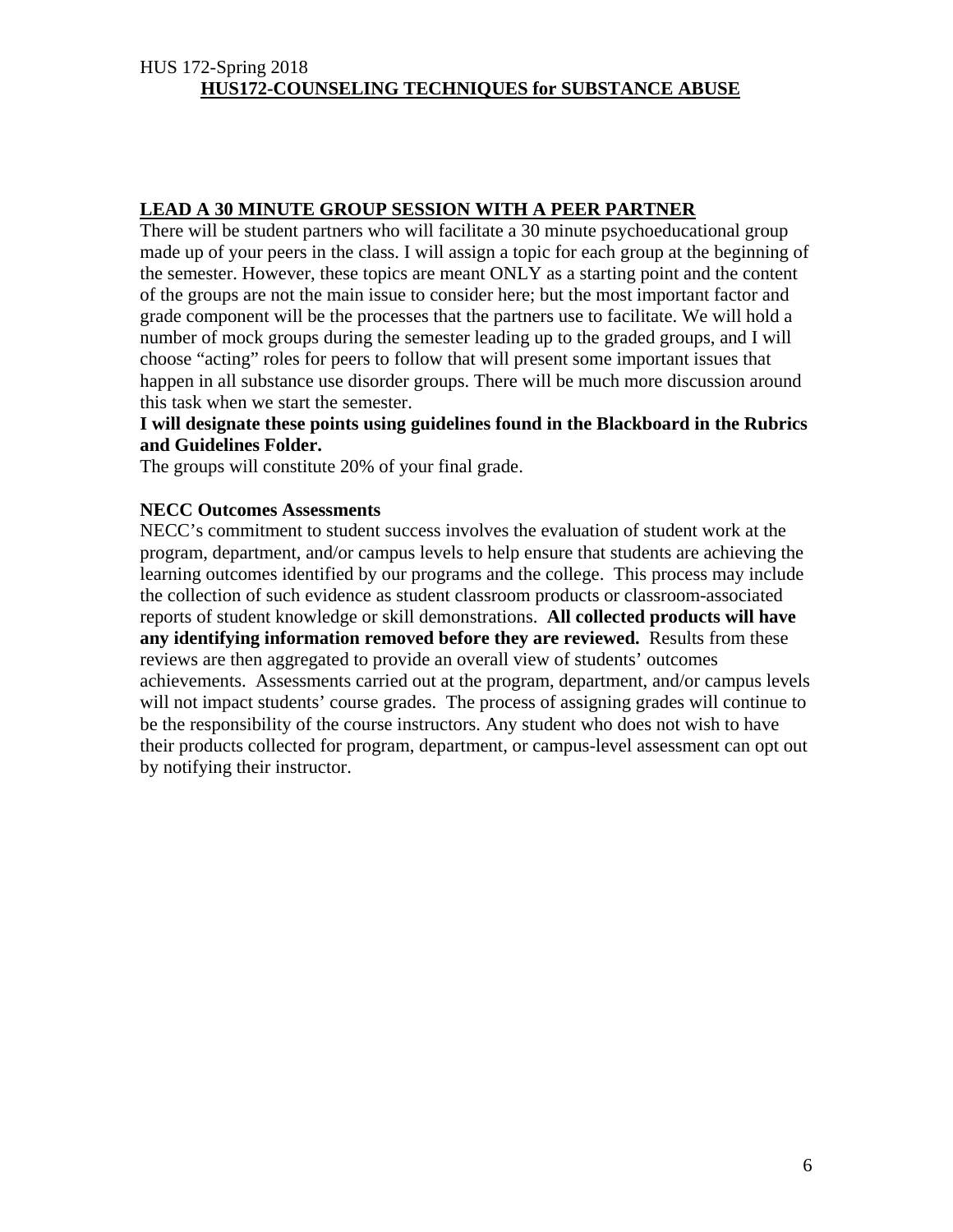## **LEAD A 30 MINUTE GROUP SESSION WITH A PEER PARTNER**

There will be student partners who will facilitate a 30 minute psychoeducational group made up of your peers in the class. I will assign a topic for each group at the beginning of the semester. However, these topics are meant ONLY as a starting point and the content of the groups are not the main issue to consider here; but the most important factor and grade component will be the processes that the partners use to facilitate. We will hold a number of mock groups during the semester leading up to the graded groups, and I will choose "acting" roles for peers to follow that will present some important issues that happen in all substance use disorder groups. There will be much more discussion around this task when we start the semester.

#### **I will designate these points using guidelines found in the Blackboard in the Rubrics and Guidelines Folder.**

The groups will constitute 20% of your final grade.

#### **NECC Outcomes Assessments**

NECC's commitment to student success involves the evaluation of student work at the program, department, and/or campus levels to help ensure that students are achieving the learning outcomes identified by our programs and the college. This process may include the collection of such evidence as student classroom products or classroom-associated reports of student knowledge or skill demonstrations. **All collected products will have any identifying information removed before they are reviewed.** Results from these reviews are then aggregated to provide an overall view of students' outcomes achievements. Assessments carried out at the program, department, and/or campus levels will not impact students' course grades. The process of assigning grades will continue to be the responsibility of the course instructors. Any student who does not wish to have their products collected for program, department, or campus-level assessment can opt out by notifying their instructor.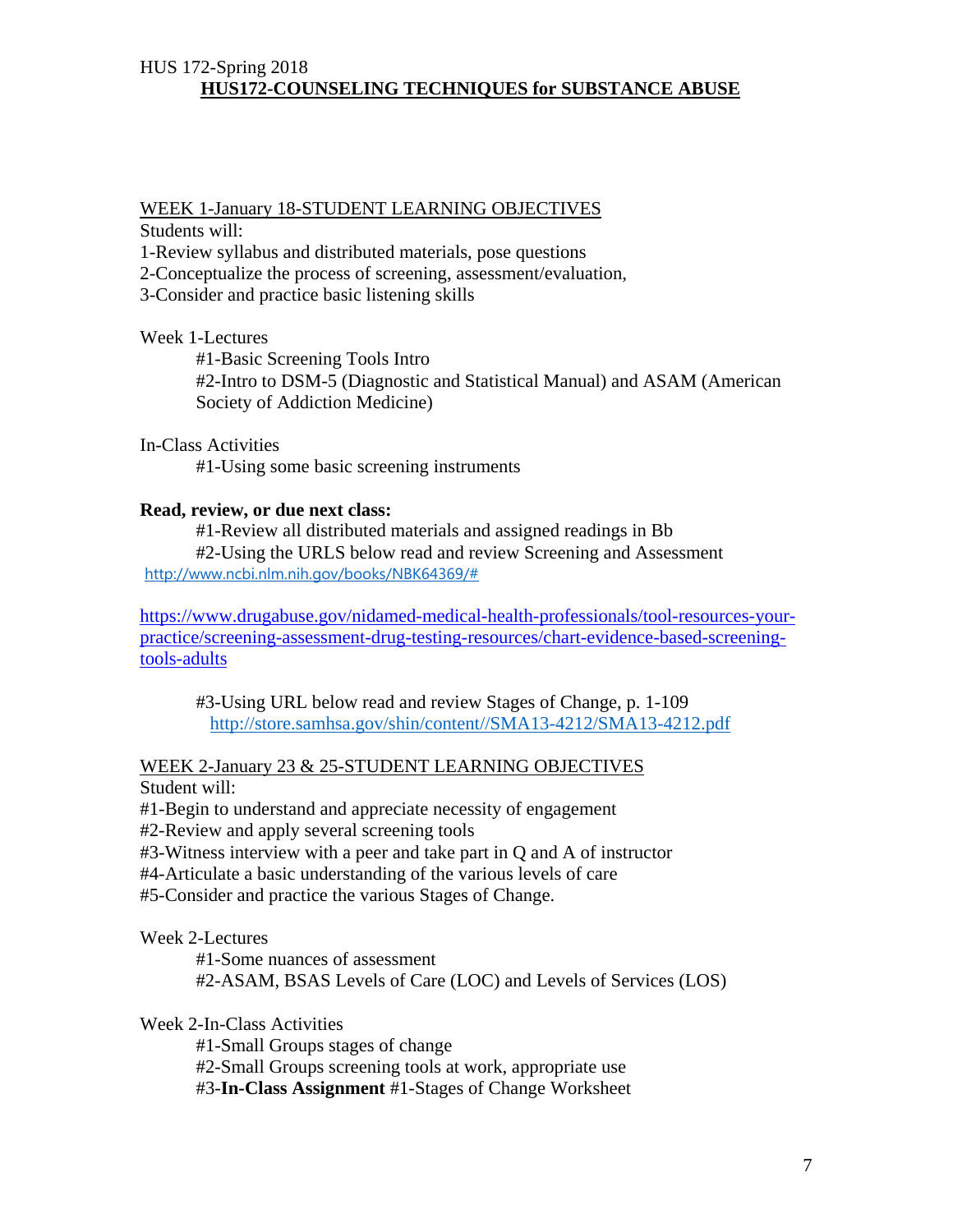## WEEK 1-January 18-STUDENT LEARNING OBJECTIVES

Students will:

1-Review syllabus and distributed materials, pose questions

2-Conceptualize the process of screening, assessment/evaluation,

3-Consider and practice basic listening skills

#### Week 1-Lectures

 #1-Basic Screening Tools Intro #2-Intro to DSM-5 (Diagnostic and Statistical Manual) and ASAM (American Society of Addiction Medicine)

#### In-Class Activities

#1-Using some basic screening instruments

#### **Read, review, or due next class:**

 #1-Review all distributed materials and assigned readings in Bb #2-Using the URLS below read and review Screening and Assessment http://www.ncbi.nlm.nih.gov/books/NBK64369/#

https://www.drugabuse.gov/nidamed-medical-health-professionals/tool-resources-yourpractice/screening-assessment-drug-testing-resources/chart-evidence-based-screeningtools-adults

#3-Using URL below read and review Stages of Change, p. 1-109 http://store.samhsa.gov/shin/content//SMA13-4212/SMA13-4212.pdf

#### WEEK 2-January 23 & 25-STUDENT LEARNING OBJECTIVES

Student will:

#1-Begin to understand and appreciate necessity of engagement

#2-Review and apply several screening tools

#3-Witness interview with a peer and take part in Q and A of instructor

#4-Articulate a basic understanding of the various levels of care

#5-Consider and practice the various Stages of Change.

#### Week 2-Lectures

 #1-Some nuances of assessment #2-ASAM, BSAS Levels of Care (LOC) and Levels of Services (LOS)

Week 2-In-Class Activities

#1-Small Groups stages of change

#2-Small Groups screening tools at work, appropriate use

#3-**In-Class Assignment** #1-Stages of Change Worksheet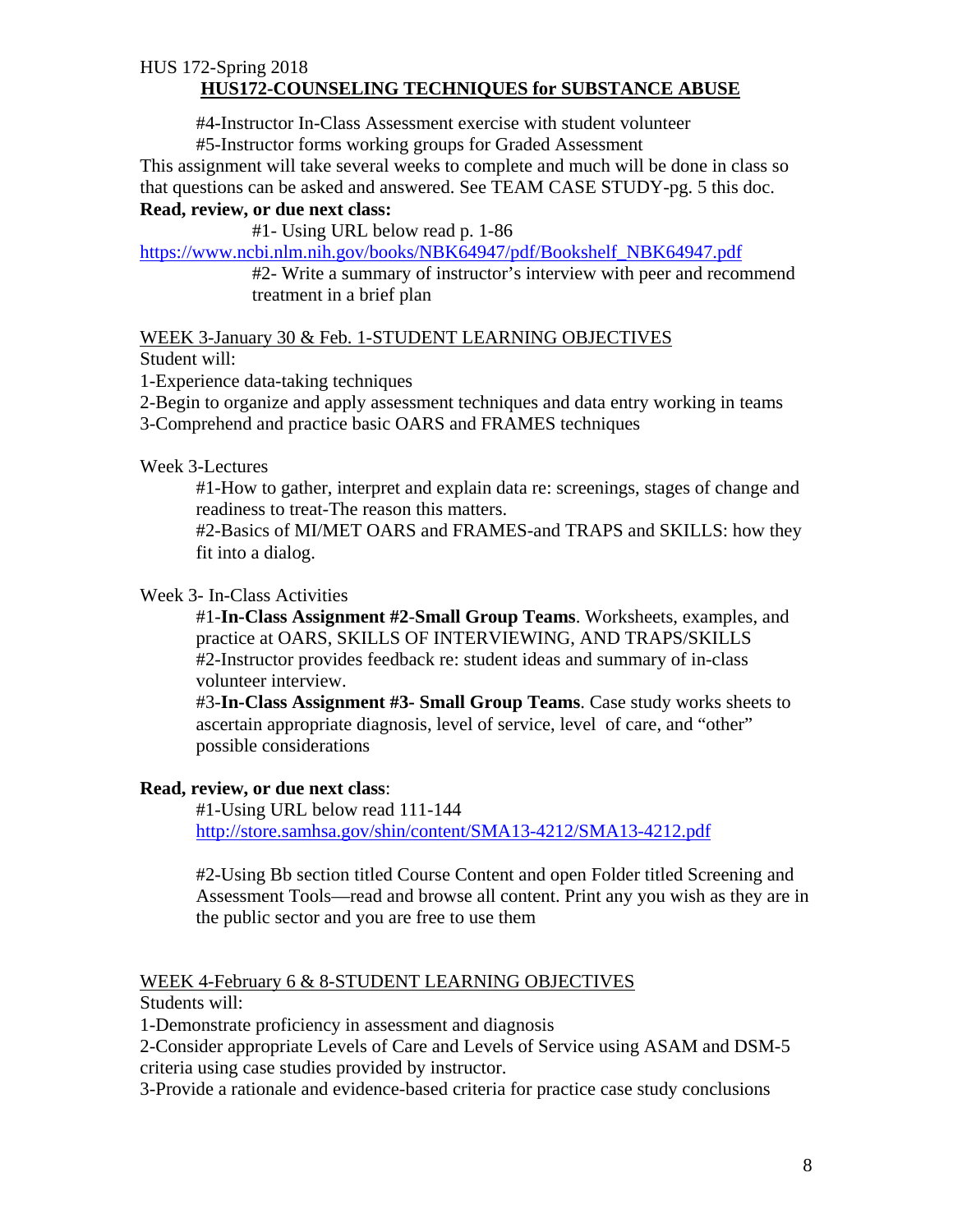#4-Instructor In-Class Assessment exercise with student volunteer

#5-Instructor forms working groups for Graded Assessment

This assignment will take several weeks to complete and much will be done in class so that questions can be asked and answered. See TEAM CASE STUDY-pg. 5 this doc. **Read, review, or due next class:** 

#1- Using URL below read p. 1-86

https://www.ncbi.nlm.nih.gov/books/NBK64947/pdf/Bookshelf\_NBK64947.pdf

#2- Write a summary of instructor's interview with peer and recommend treatment in a brief plan

WEEK 3-January 30 & Feb. 1-STUDENT LEARNING OBJECTIVES Student will:

1-Experience data-taking techniques

2-Begin to organize and apply assessment techniques and data entry working in teams 3-Comprehend and practice basic OARS and FRAMES techniques

Week 3-Lectures

#1-How to gather, interpret and explain data re: screenings, stages of change and readiness to treat-The reason this matters.

#2-Basics of MI/MET OARS and FRAMES-and TRAPS and SKILLS: how they fit into a dialog.

## Week 3- In-Class Activities

#1-**In-Class Assignment #2**-**Small Group Teams**. Worksheets, examples, and practice at OARS, SKILLS OF INTERVIEWING, AND TRAPS/SKILLS #2-Instructor provides feedback re: student ideas and summary of in-class volunteer interview.

#3-**In-Class Assignment #3- Small Group Teams**. Case study works sheets to ascertain appropriate diagnosis, level of service, level of care, and "other" possible considerations

## **Read, review, or due next class**:

 #1-Using URL below read 111-144 http://store.samhsa.gov/shin/content/SMA13-4212/SMA13-4212.pdf

#2-Using Bb section titled Course Content and open Folder titled Screening and Assessment Tools—read and browse all content. Print any you wish as they are in the public sector and you are free to use them

## WEEK 4-February 6 & 8-STUDENT LEARNING OBJECTIVES

Students will:

1-Demonstrate proficiency in assessment and diagnosis

2-Consider appropriate Levels of Care and Levels of Service using ASAM and DSM-5 criteria using case studies provided by instructor.

3-Provide a rationale and evidence-based criteria for practice case study conclusions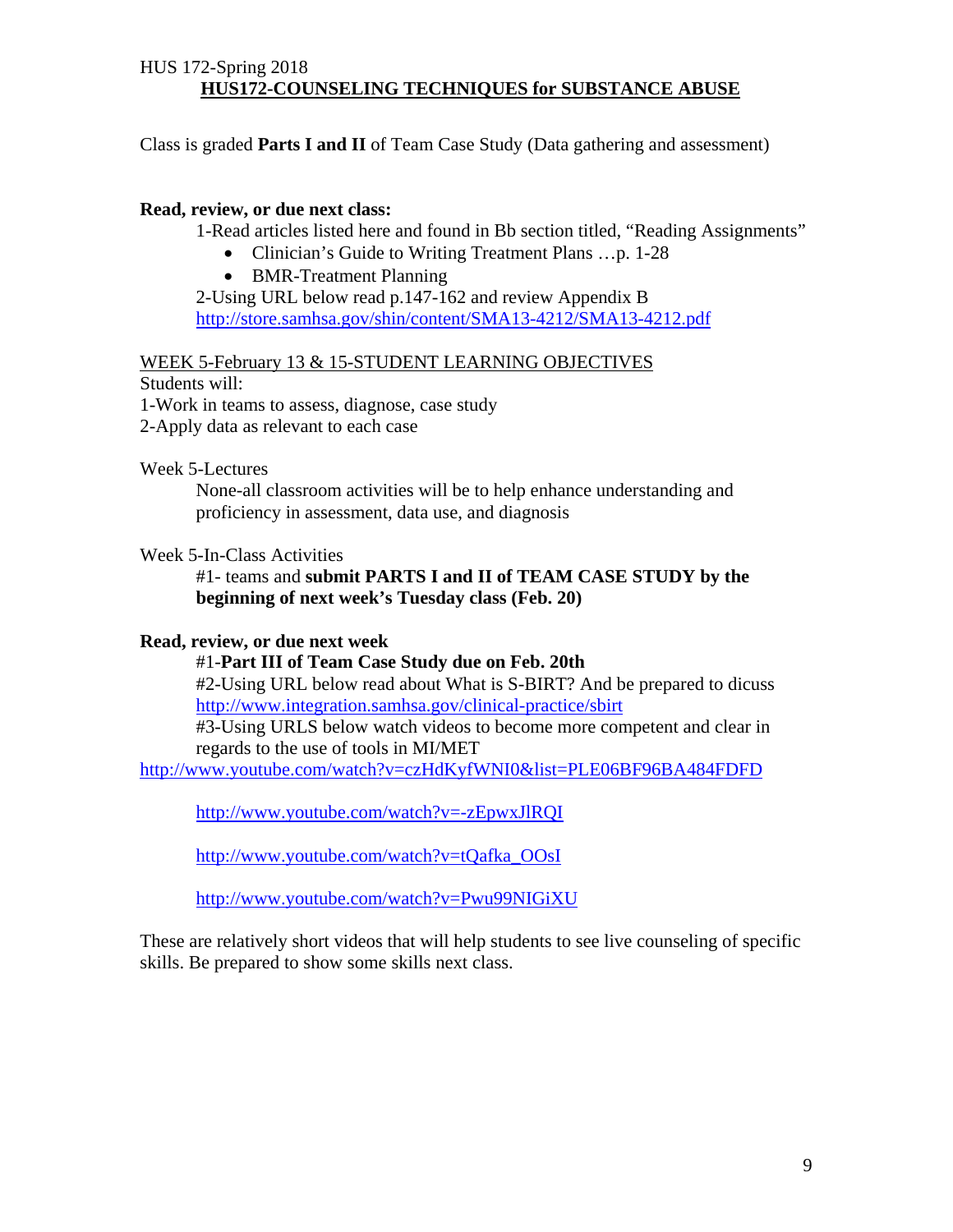Class is graded **Parts I and II** of Team Case Study (Data gathering and assessment)

#### **Read, review, or due next class:**

1-Read articles listed here and found in Bb section titled, "Reading Assignments"

- Clinician's Guide to Writing Treatment Plans ...p. 1-28
- BMR-Treatment Planning

 2-Using URL below read p.147-162 and review Appendix B http://store.samhsa.gov/shin/content/SMA13-4212/SMA13-4212.pdf

## WEEK 5-February 13 & 15-STUDENT LEARNING OBJECTIVES

Students will:

1-Work in teams to assess, diagnose, case study

2-Apply data as relevant to each case

Week 5-Lectures

None-all classroom activities will be to help enhance understanding and proficiency in assessment, data use, and diagnosis

#### Week 5-In-Class Activities

#1- teams and **submit PARTS I and II of TEAM CASE STUDY by the beginning of next week's Tuesday class (Feb. 20)**

#### **Read, review, or due next week**

#1-**Part III of Team Case Study due on Feb. 20th** 

#2-Using URL below read about What is S-BIRT? And be prepared to dicuss http://www.integration.samhsa.gov/clinical-practice/sbirt

#3-Using URLS below watch videos to become more competent and clear in regards to the use of tools in MI/MET

http://www.youtube.com/watch?v=czHdKyfWNI0&list=PLE06BF96BA484FDFD

http://www.youtube.com/watch?v=-zEpwxJlRQI

http://www.youtube.com/watch?v=tQafka\_OOsI

http://www.youtube.com/watch?v=Pwu99NIGiXU

These are relatively short videos that will help students to see live counseling of specific skills. Be prepared to show some skills next class.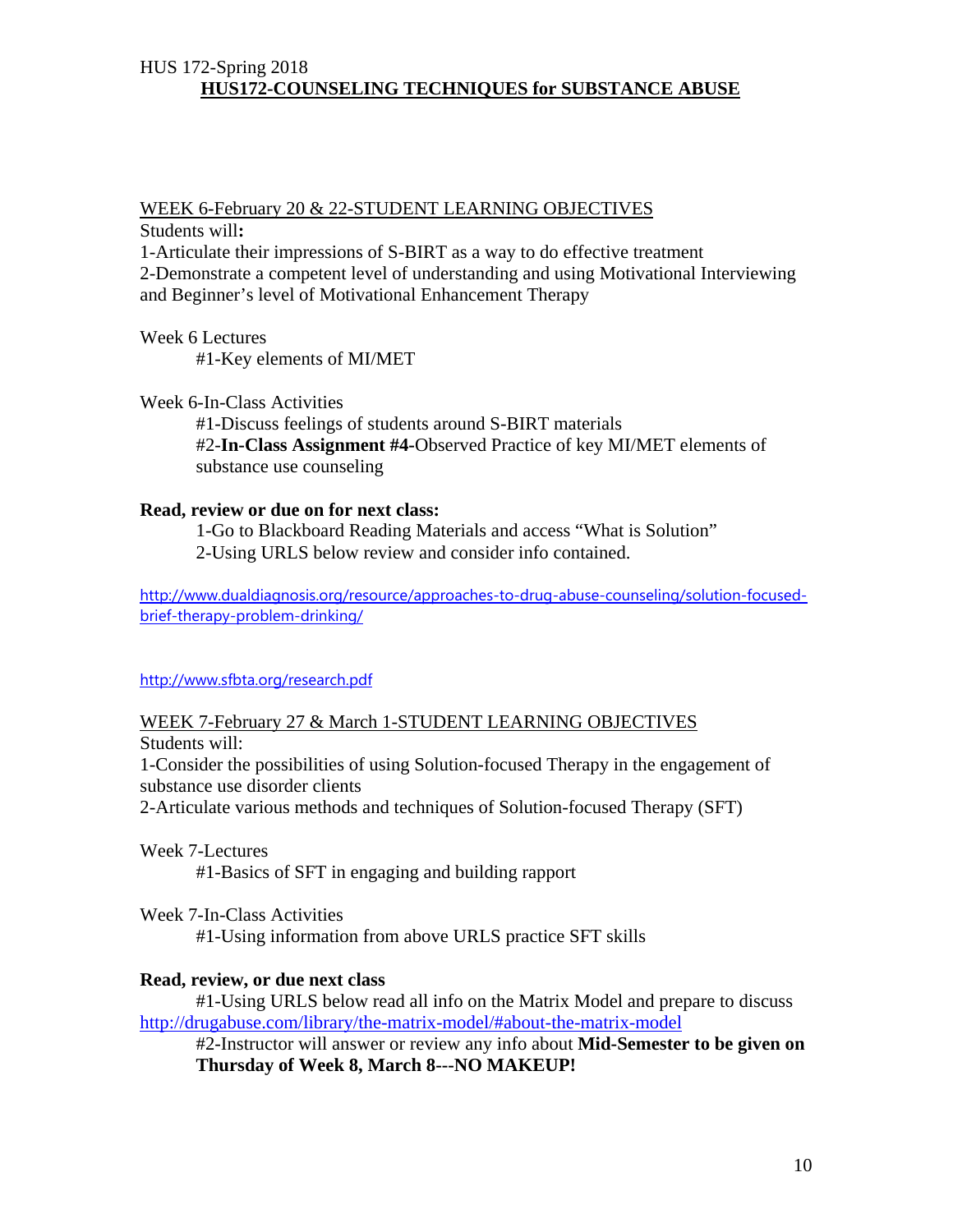## WEEK 6-February 20 & 22-STUDENT LEARNING OBJECTIVES

Students will**:** 

1-Articulate their impressions of S-BIRT as a way to do effective treatment 2-Demonstrate a competent level of understanding and using Motivational Interviewing

and Beginner's level of Motivational Enhancement Therapy

Week 6 Lectures #1-Key elements of MI/MET

Week 6-In-Class Activities

#1-Discuss feelings of students around S-BIRT materials #2-**In-Class Assignment #4-**Observed Practice of key MI/MET elements of substance use counseling

#### **Read, review or due on for next class:**

 1-Go to Blackboard Reading Materials and access "What is Solution" 2-Using URLS below review and consider info contained.

http://www.dualdiagnosis.org/resource/approaches-to-drug-abuse-counseling/solution-focusedbrief-therapy-problem-drinking/

http://www.sfbta.org/research.pdf

WEEK 7-February 27 & March 1-STUDENT LEARNING OBJECTIVES Students will:

1-Consider the possibilities of using Solution-focused Therapy in the engagement of substance use disorder clients

2-Articulate various methods and techniques of Solution-focused Therapy (SFT)

Week 7-Lectures

#1-Basics of SFT in engaging and building rapport

Week 7-In-Class Activities

#1-Using information from above URLS practice SFT skills

#### **Read, review, or due next class**

 #1-Using URLS below read all info on the Matrix Model and prepare to discuss http://drugabuse.com/library/the-matrix-model/#about-the-matrix-model

#2-Instructor will answer or review any info about **Mid-Semester to be given on Thursday of Week 8, March 8---NO MAKEUP!**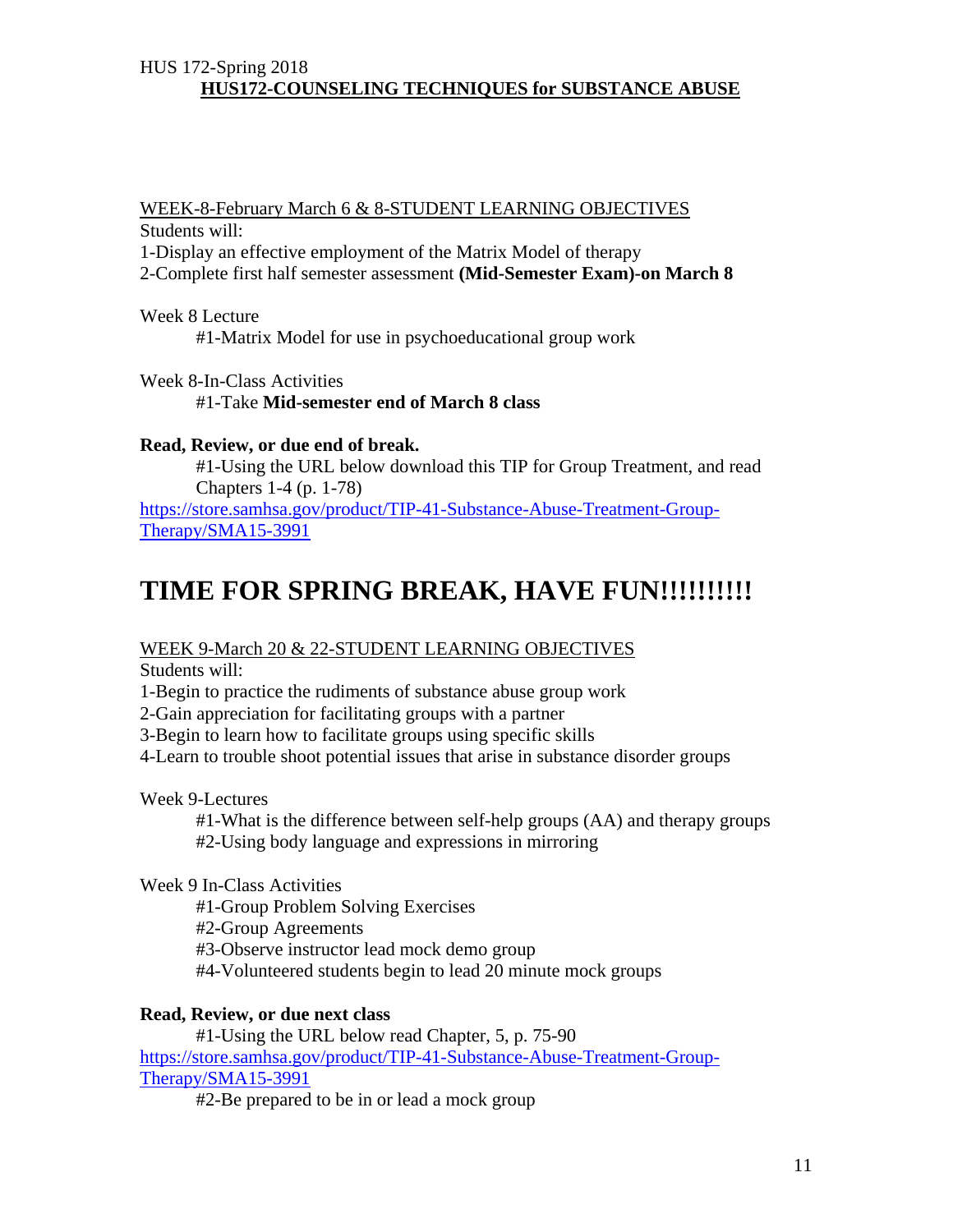WEEK-8-February March 6 & 8-STUDENT LEARNING OBJECTIVES Students will:

1-Display an effective employment of the Matrix Model of therapy

2-Complete first half semester assessment **(Mid-Semester Exam)-on March 8**

Week 8 Lecture

#1-Matrix Model for use in psychoeducational group work

Week 8-In-Class Activities

#1-Take **Mid-semester end of March 8 class**

#### **Read, Review, or due end of break.**

#1-Using the URL below download this TIP for Group Treatment, and read Chapters 1-4 (p. 1-78)

https://store.samhsa.gov/product/TIP-41-Substance-Abuse-Treatment-Group-Therapy/SMA15-3991

## **TIME FOR SPRING BREAK, HAVE FUN!!!!!!!!!!**

WEEK 9-March 20 & 22-STUDENT LEARNING OBJECTIVES

Students will:

1-Begin to practice the rudiments of substance abuse group work

2-Gain appreciation for facilitating groups with a partner

3-Begin to learn how to facilitate groups using specific skills

4-Learn to trouble shoot potential issues that arise in substance disorder groups

Week 9-Lectures

 #1-What is the difference between self-help groups (AA) and therapy groups #2-Using body language and expressions in mirroring

#### Week 9 In-Class Activities

#1-Group Problem Solving Exercises

#2-Group Agreements

#3-Observe instructor lead mock demo group

#4-Volunteered students begin to lead 20 minute mock groups

## **Read, Review, or due next class**

 #1-Using the URL below read Chapter, 5, p. 75-90 https://store.samhsa.gov/product/TIP-41-Substance-Abuse-Treatment-Group-Therapy/SMA15-3991

#2-Be prepared to be in or lead a mock group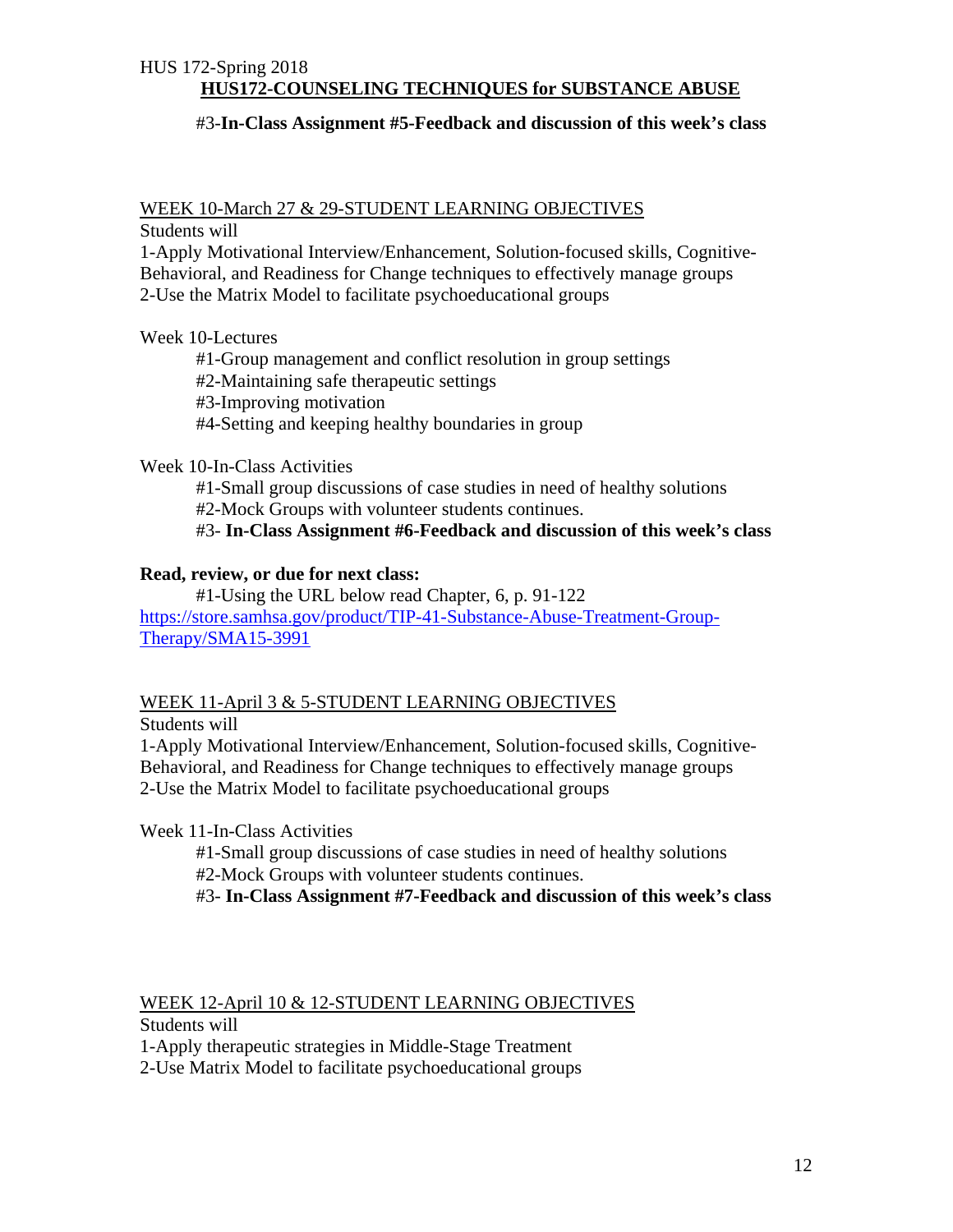#### #3-**In-Class Assignment #5-Feedback and discussion of this week's class**

## WEEK 10-March 27 & 29-STUDENT LEARNING OBJECTIVES

Students will

1-Apply Motivational Interview/Enhancement, Solution-focused skills, Cognitive-Behavioral, and Readiness for Change techniques to effectively manage groups 2-Use the Matrix Model to facilitate psychoeducational groups

#### Week 10-Lectures

 #1-Group management and conflict resolution in group settings #2-Maintaining safe therapeutic settings #3-Improving motivation #4-Setting and keeping healthy boundaries in group

#### Week 10-In-Class Activities

 #1-Small group discussions of case studies in need of healthy solutions #2-Mock Groups with volunteer students continues.

#3- **In-Class Assignment #6-Feedback and discussion of this week's class**

#### **Read, review, or due for next class:**

 #1-Using the URL below read Chapter, 6, p. 91-122 https://store.samhsa.gov/product/TIP-41-Substance-Abuse-Treatment-Group-Therapy/SMA15-3991

#### WEEK 11-April 3 & 5-STUDENT LEARNING OBJECTIVES

Students will

1-Apply Motivational Interview/Enhancement, Solution-focused skills, Cognitive-Behavioral, and Readiness for Change techniques to effectively manage groups 2-Use the Matrix Model to facilitate psychoeducational groups

Week 11-In-Class Activities

 #1-Small group discussions of case studies in need of healthy solutions #2-Mock Groups with volunteer students continues.

#3- **In-Class Assignment #7-Feedback and discussion of this week's class**

## WEEK 12-April 10 & 12-STUDENT LEARNING OBJECTIVES

Students will

1-Apply therapeutic strategies in Middle-Stage Treatment

2-Use Matrix Model to facilitate psychoeducational groups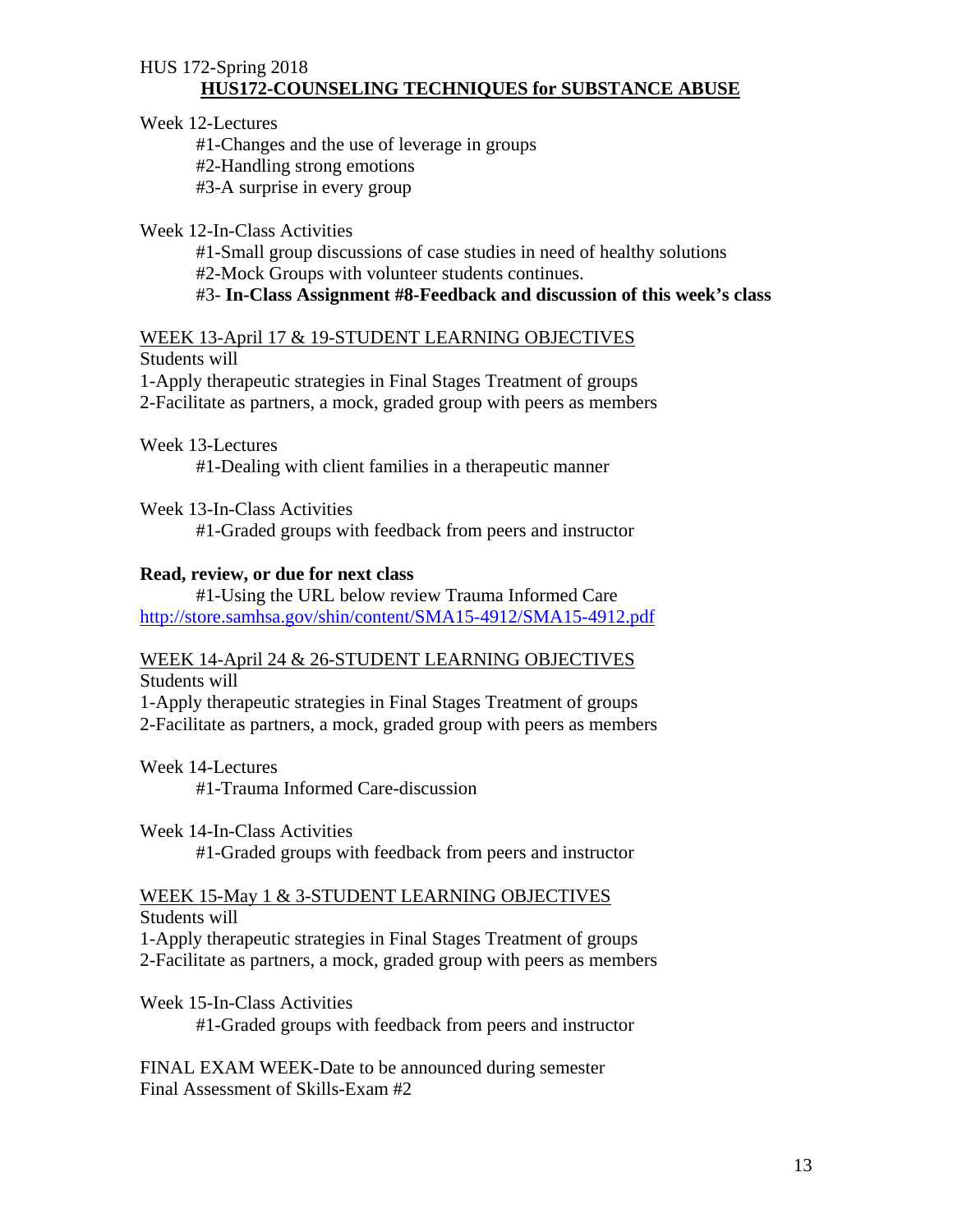#### Week 12-Lectures

 #1-Changes and the use of leverage in groups #2-Handling strong emotions #3-A surprise in every group

#### Week 12-In-Class Activities

 #1-Small group discussions of case studies in need of healthy solutions #2-Mock Groups with volunteer students continues.

#### #3- **In-Class Assignment #8-Feedback and discussion of this week's class**

## WEEK 13-April 17 & 19-STUDENT LEARNING OBJECTIVES

Students will

1-Apply therapeutic strategies in Final Stages Treatment of groups

2-Facilitate as partners, a mock, graded group with peers as members

Week 13-Lectures

#1-Dealing with client families in a therapeutic manner

Week 13-In-Class Activities

#1-Graded groups with feedback from peers and instructor

#### **Read, review, or due for next class**

 #1-Using the URL below review Trauma Informed Care http://store.samhsa.gov/shin/content/SMA15-4912/SMA15-4912.pdf

#### WEEK 14-April 24 & 26-STUDENT LEARNING OBJECTIVES

Students will

1-Apply therapeutic strategies in Final Stages Treatment of groups 2-Facilitate as partners, a mock, graded group with peers as members

Week 14-Lectures

#1-Trauma Informed Care-discussion

#### Week 14-In-Class Activities

#1-Graded groups with feedback from peers and instructor

# WEEK 15-May 1 & 3-STUDENT LEARNING OBJECTIVES

Students will

1-Apply therapeutic strategies in Final Stages Treatment of groups 2-Facilitate as partners, a mock, graded group with peers as members

Week 15-In-Class Activities

#1-Graded groups with feedback from peers and instructor

FINAL EXAM WEEK-Date to be announced during semester Final Assessment of Skills-Exam #2